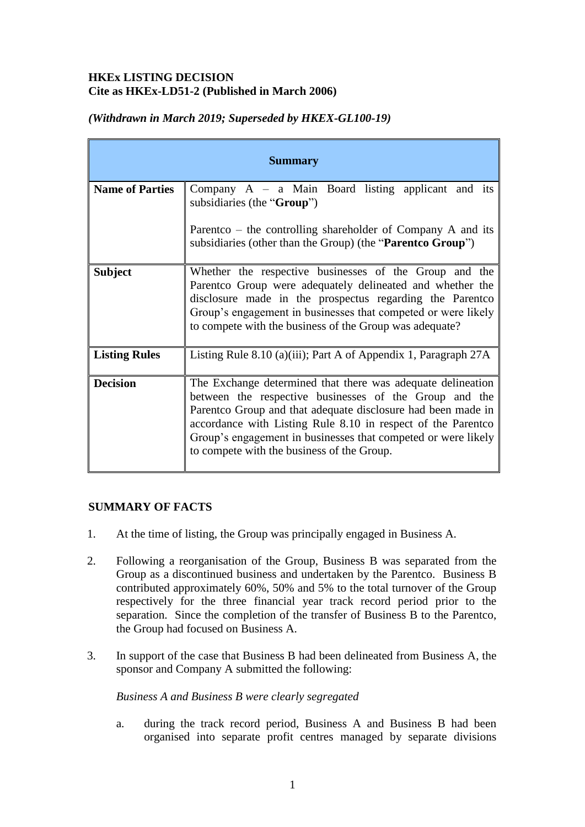# **HKEx LISTING DECISION Cite as HKEx-LD51-2 (Published in March 2006)**

| <b>Summary</b>         |                                                                                                                                                                                                                                                                                                                                                                       |
|------------------------|-----------------------------------------------------------------------------------------------------------------------------------------------------------------------------------------------------------------------------------------------------------------------------------------------------------------------------------------------------------------------|
| <b>Name of Parties</b> | Company $A - a$ Main Board listing applicant and its<br>subsidiaries (the "Group")                                                                                                                                                                                                                                                                                    |
|                        | Parentco – the controlling shareholder of Company $A$ and its<br>subsidiaries (other than the Group) (the " <b>Parent Concilent</b> ")                                                                                                                                                                                                                                |
| <b>Subject</b>         | Whether the respective businesses of the Group and the<br>Parentco Group were adequately delineated and whether the<br>disclosure made in the prospectus regarding the Parentco<br>Group's engagement in businesses that competed or were likely<br>to compete with the business of the Group was adequate?                                                           |
| <b>Listing Rules</b>   | Listing Rule 8.10 (a)(iii); Part A of Appendix 1, Paragraph $27A$                                                                                                                                                                                                                                                                                                     |
| <b>Decision</b>        | The Exchange determined that there was adequate delineation<br>between the respective businesses of the Group and the<br>Parent co Group and that adequate disclosure had been made in<br>accordance with Listing Rule 8.10 in respect of the Parentco<br>Group's engagement in businesses that competed or were likely<br>to compete with the business of the Group. |

# *(Withdrawn in March 2019; Superseded by HKEX-GL100-19)*

## **SUMMARY OF FACTS**

- 1. At the time of listing, the Group was principally engaged in Business A.
- 2. Following a reorganisation of the Group, Business B was separated from the Group as a discontinued business and undertaken by the Parentco. Business B contributed approximately 60%, 50% and 5% to the total turnover of the Group respectively for the three financial year track record period prior to the separation. Since the completion of the transfer of Business B to the Parentco, the Group had focused on Business A.
- 3. In support of the case that Business B had been delineated from Business A, the sponsor and Company A submitted the following:

### *Business A and Business B were clearly segregated*

a. during the track record period, Business A and Business B had been organised into separate profit centres managed by separate divisions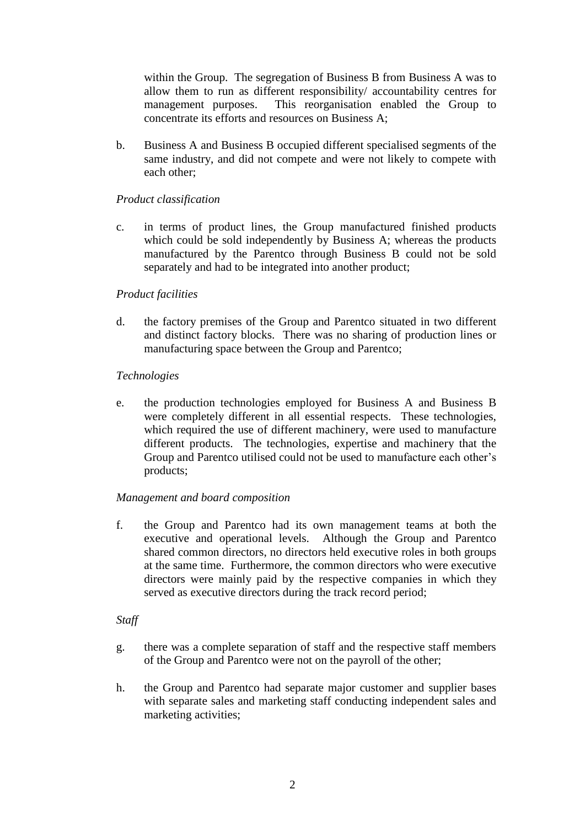within the Group. The segregation of Business B from Business A was to allow them to run as different responsibility/ accountability centres for management purposes. This reorganisation enabled the Group to concentrate its efforts and resources on Business A;

b. Business A and Business B occupied different specialised segments of the same industry, and did not compete and were not likely to compete with each other;

### *Product classification*

c. in terms of product lines, the Group manufactured finished products which could be sold independently by Business A; whereas the products manufactured by the Parentco through Business B could not be sold separately and had to be integrated into another product;

### *Product facilities*

d. the factory premises of the Group and Parentco situated in two different and distinct factory blocks. There was no sharing of production lines or manufacturing space between the Group and Parentco;

#### *Technologies*

e. the production technologies employed for Business A and Business B were completely different in all essential respects. These technologies, which required the use of different machinery, were used to manufacture different products. The technologies, expertise and machinery that the Group and Parentco utilised could not be used to manufacture each other's products;

### *Management and board composition*

f. the Group and Parentco had its own management teams at both the executive and operational levels. Although the Group and Parentco shared common directors, no directors held executive roles in both groups at the same time. Furthermore, the common directors who were executive directors were mainly paid by the respective companies in which they served as executive directors during the track record period;

#### *Staff*

- g. there was a complete separation of staff and the respective staff members of the Group and Parentco were not on the payroll of the other;
- h. the Group and Parentco had separate major customer and supplier bases with separate sales and marketing staff conducting independent sales and marketing activities;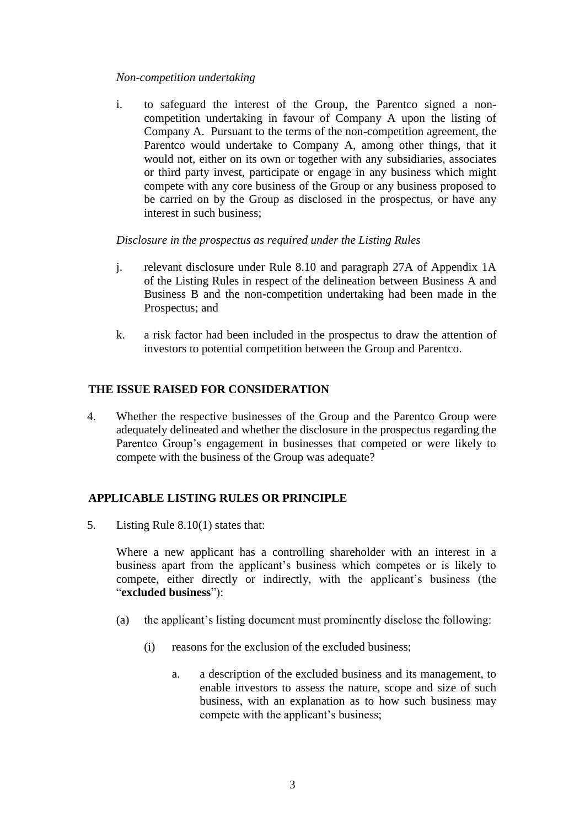### *Non-competition undertaking*

i. to safeguard the interest of the Group, the Parentco signed a noncompetition undertaking in favour of Company A upon the listing of Company A. Pursuant to the terms of the non-competition agreement, the Parentco would undertake to Company A, among other things, that it would not, either on its own or together with any subsidiaries, associates or third party invest, participate or engage in any business which might compete with any core business of the Group or any business proposed to be carried on by the Group as disclosed in the prospectus, or have any interest in such business;

*Disclosure in the prospectus as required under the Listing Rules* 

- j. relevant disclosure under Rule 8.10 and paragraph 27A of Appendix 1A of the Listing Rules in respect of the delineation between Business A and Business B and the non-competition undertaking had been made in the Prospectus; and
- k. a risk factor had been included in the prospectus to draw the attention of investors to potential competition between the Group and Parentco.

### **THE ISSUE RAISED FOR CONSIDERATION**

4. Whether the respective businesses of the Group and the Parentco Group were adequately delineated and whether the disclosure in the prospectus regarding the Parentco Group's engagement in businesses that competed or were likely to compete with the business of the Group was adequate?

## **APPLICABLE LISTING RULES OR PRINCIPLE**

5. Listing Rule 8.10(1) states that:

Where a new applicant has a controlling shareholder with an interest in a business apart from the applicant's business which competes or is likely to compete, either directly or indirectly, with the applicant's business (the "**excluded business**"):

- (a) the applicant's listing document must prominently disclose the following:
	- (i) reasons for the exclusion of the excluded business;
		- a. a description of the excluded business and its management, to enable investors to assess the nature, scope and size of such business, with an explanation as to how such business may compete with the applicant's business;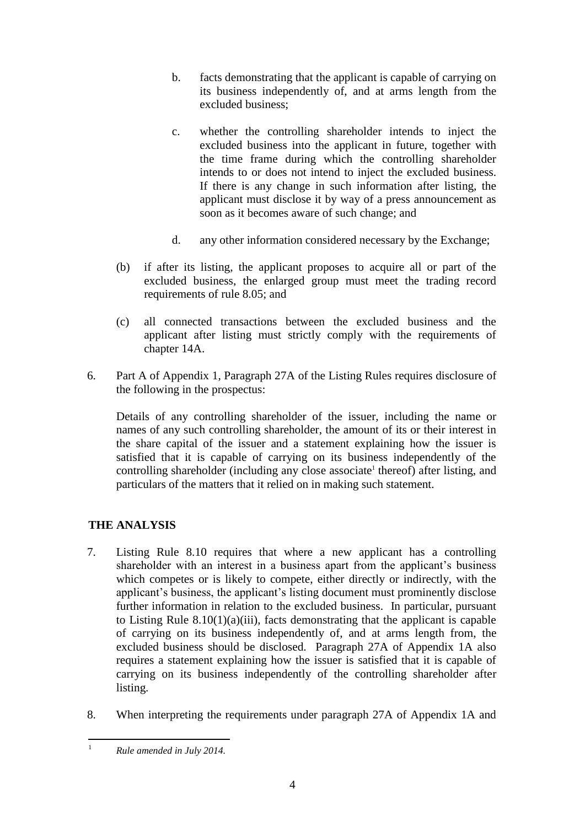- b. facts demonstrating that the applicant is capable of carrying on its business independently of, and at arms length from the excluded business;
- c. whether the controlling shareholder intends to inject the excluded business into the applicant in future, together with the time frame during which the controlling shareholder intends to or does not intend to inject the excluded business. If there is any change in such information after listing, the applicant must disclose it by way of a press announcement as soon as it becomes aware of such change; and
- d. any other information considered necessary by the Exchange;
- (b) if after its listing, the applicant proposes to acquire all or part of the excluded business, the enlarged group must meet the trading record requirements of rule 8.05; and
- (c) all connected transactions between the excluded business and the applicant after listing must strictly comply with the requirements of chapter 14A.
- 6. Part A of Appendix 1, Paragraph 27A of the Listing Rules requires disclosure of the following in the prospectus:

Details of any controlling shareholder of the issuer, including the name or names of any such controlling shareholder, the amount of its or their interest in the share capital of the issuer and a statement explaining how the issuer is satisfied that it is capable of carrying on its business independently of the controlling shareholder (including any close associate<sup>1</sup> thereof) after listing, and particulars of the matters that it relied on in making such statement.

# **THE ANALYSIS**

- 7. Listing Rule 8.10 requires that where a new applicant has a controlling shareholder with an interest in a business apart from the applicant's business which competes or is likely to compete, either directly or indirectly, with the applicant's business, the applicant's listing document must prominently disclose further information in relation to the excluded business. In particular, pursuant to Listing Rule  $8.10(1)(a)(iii)$ , facts demonstrating that the applicant is capable of carrying on its business independently of, and at arms length from, the excluded business should be disclosed. Paragraph 27A of Appendix 1A also requires a statement explaining how the issuer is satisfied that it is capable of carrying on its business independently of the controlling shareholder after listing.
- 8. When interpreting the requirements under paragraph 27A of Appendix 1A and

 $\overline{1}$ <sup>1</sup> *Rule amended in July 2014.*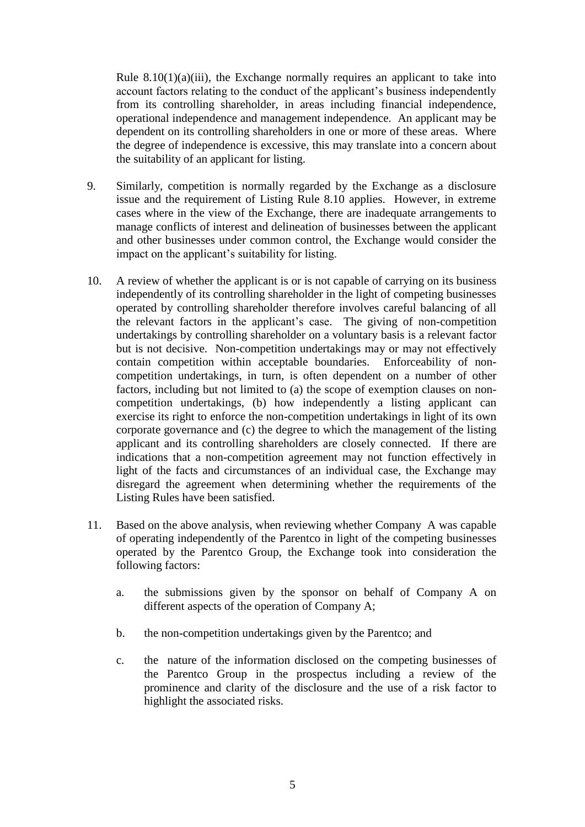Rule  $8.10(1)(a)(iii)$ , the Exchange normally requires an applicant to take into account factors relating to the conduct of the applicant's business independently from its controlling shareholder, in areas including financial independence, operational independence and management independence. An applicant may be dependent on its controlling shareholders in one or more of these areas. Where the degree of independence is excessive, this may translate into a concern about the suitability of an applicant for listing.

- 9. Similarly, competition is normally regarded by the Exchange as a disclosure issue and the requirement of Listing Rule 8.10 applies. However, in extreme cases where in the view of the Exchange, there are inadequate arrangements to manage conflicts of interest and delineation of businesses between the applicant and other businesses under common control, the Exchange would consider the impact on the applicant's suitability for listing.
- 10. A review of whether the applicant is or is not capable of carrying on its business independently of its controlling shareholder in the light of competing businesses operated by controlling shareholder therefore involves careful balancing of all the relevant factors in the applicant's case. The giving of non-competition undertakings by controlling shareholder on a voluntary basis is a relevant factor but is not decisive. Non-competition undertakings may or may not effectively contain competition within acceptable boundaries. Enforceability of noncompetition undertakings, in turn, is often dependent on a number of other factors, including but not limited to (a) the scope of exemption clauses on noncompetition undertakings, (b) how independently a listing applicant can exercise its right to enforce the non-competition undertakings in light of its own corporate governance and (c) the degree to which the management of the listing applicant and its controlling shareholders are closely connected. If there are indications that a non-competition agreement may not function effectively in light of the facts and circumstances of an individual case, the Exchange may disregard the agreement when determining whether the requirements of the Listing Rules have been satisfied.
- 11. Based on the above analysis, when reviewing whether Company A was capable of operating independently of the Parentco in light of the competing businesses operated by the Parentco Group, the Exchange took into consideration the following factors:
	- a. the submissions given by the sponsor on behalf of Company A on different aspects of the operation of Company A;
	- b. the non-competition undertakings given by the Parentco; and
	- c. the nature of the information disclosed on the competing businesses of the Parentco Group in the prospectus including a review of the prominence and clarity of the disclosure and the use of a risk factor to highlight the associated risks.